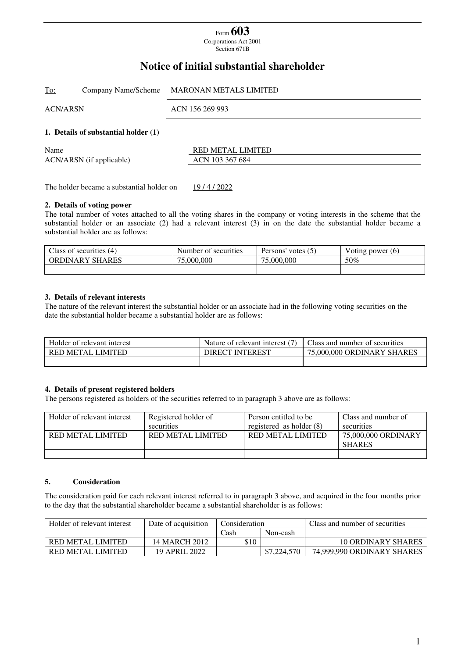# Form **603**

Corporations Act 2001 Section 671B

## **Notice of initial substantial shareholder**

| <u>To:</u>      |                                      | Company Name/Scheme MARONAN METALS LIMITED |
|-----------------|--------------------------------------|--------------------------------------------|
| <b>ACN/ARSN</b> |                                      | ACN 156 269 993                            |
|                 | 1. Details of substantial holder (1) |                                            |
| Name            | ACN/ARSN (if applicable)             | RED METAL LIMITED<br>ACN 103 367 684       |

The holder became a substantial holder on 19/4/2022

#### **2. Details of voting power**

The total number of votes attached to all the voting shares in the company or voting interests in the scheme that the substantial holder or an associate (2) had a relevant interest (3) in on the date the substantial holder became a substantial holder are as follows:

| Class of securities (4) | Number of securities | $^{\prime}$ votes $(5)$<br>Persons' | Voting power (6) |
|-------------------------|----------------------|-------------------------------------|------------------|
| <b>ORDINARY SHARES</b>  | 75,000,000           | 75,000,000                          | 50%              |
|                         |                      |                                     |                  |

#### **3. Details of relevant interests**

The nature of the relevant interest the substantial holder or an associate had in the following voting securities on the date the substantial holder became a substantial holder are as follows:

| Holder of relevant interest | Nature of relevant interest (7) | Class and number of securities |
|-----------------------------|---------------------------------|--------------------------------|
| RED METAL LIMITED           | <b>DIRECT INTEREST</b>          | 75,000,000 ORDINARY SHARES     |
|                             |                                 |                                |

#### **4. Details of present registered holders**

The persons registered as holders of the securities referred to in paragraph 3 above are as follows:

| Holder of relevant interest | Registered holder of | Person entitled to be      | Class and number of |
|-----------------------------|----------------------|----------------------------|---------------------|
|                             | securities           | registered as holder $(8)$ | securities          |
| RED METAL LIMITED           | RED METAL LIMITED    | RED METAL LIMITED          | 75,000,000 ORDINARY |
|                             |                      |                            | <b>SHARES</b>       |
|                             |                      |                            |                     |

#### **5. Consideration**

The consideration paid for each relevant interest referred to in paragraph 3 above, and acquired in the four months prior to the day that the substantial shareholder became a substantial shareholder is as follows:

| Holder of relevant interest | Date of acquisition | Consideration |             | Class and number of securities |
|-----------------------------|---------------------|---------------|-------------|--------------------------------|
|                             |                     | Cash          | Non-cash    |                                |
| RED METAL LIMITED           | 14 MARCH 2012       | \$10          |             | <b>10 ORDINARY SHARES</b>      |
| RED METAL LIMITED           | 19 APRIL 2022       |               | \$7,224,570 | 74,999,990 ORDINARY SHARES     |